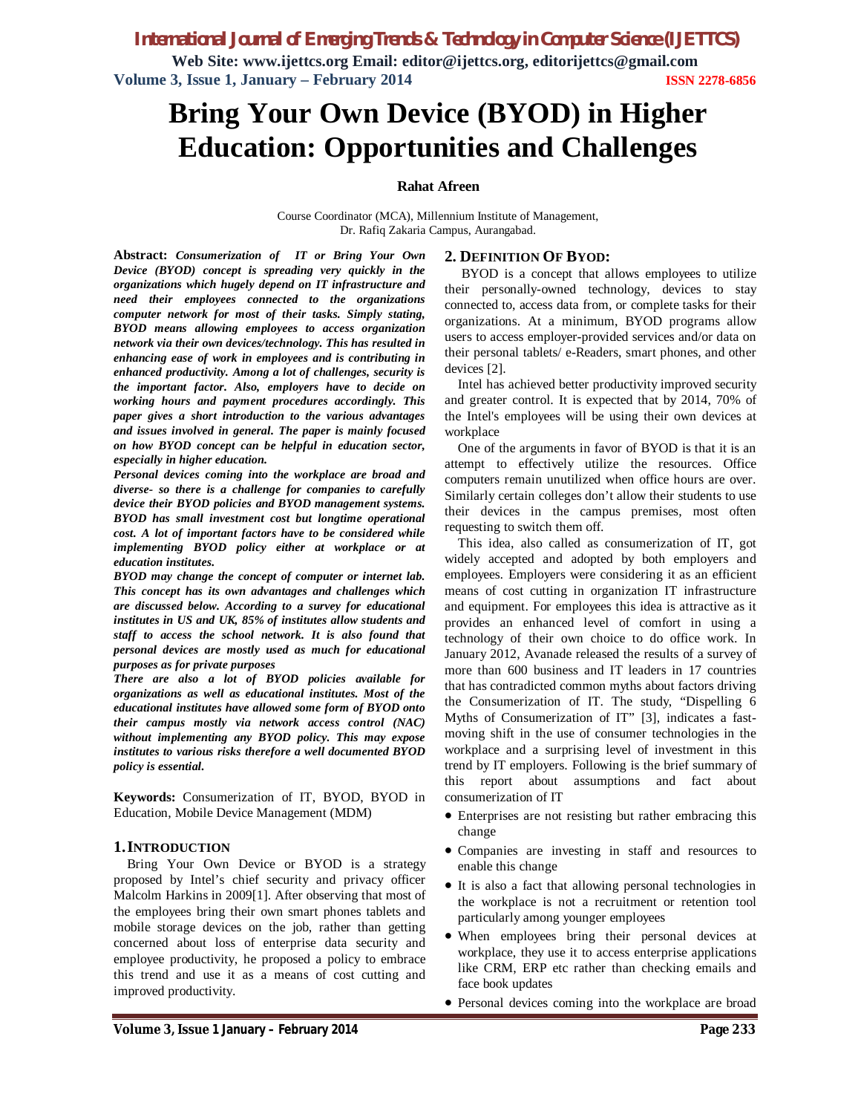*International Journal of Emerging Trends & Technology in Computer Science (IJETTCS)*

**Web Site: www.ijettcs.org Email: editor@ijettcs.org, editorijettcs@gmail.com Volume 3, Issue 1, January – February 2014 ISSN 2278-6856**

# **Bring Your Own Device (BYOD) in Higher Education: Opportunities and Challenges**

### **Rahat Afreen**

Course Coordinator (MCA), Millennium Institute of Management, Dr. Rafiq Zakaria Campus, Aurangabad.

**Abstract:** *Consumerization of IT or Bring Your Own Device (BYOD) concept is spreading very quickly in the organizations which hugely depend on IT infrastructure and need their employees connected to the organizations computer network for most of their tasks. Simply stating, BYOD means allowing employees to access organization network via their own devices/technology. This has resulted in enhancing ease of work in employees and is contributing in enhanced productivity. Among a lot of challenges, security is the important factor. Also, employers have to decide on working hours and payment procedures accordingly. This paper gives a short introduction to the various advantages and issues involved in general. The paper is mainly focused on how BYOD concept can be helpful in education sector, especially in higher education.*

*Personal devices coming into the workplace are broad and diverse- so there is a challenge for companies to carefully device their BYOD policies and BYOD management systems. BYOD has small investment cost but longtime operational cost. A lot of important factors have to be considered while implementing BYOD policy either at workplace or at education institutes.*

*BYOD may change the concept of computer or internet lab. This concept has its own advantages and challenges which are discussed below. According to a survey for educational institutes in US and UK, 85% of institutes allow students and staff to access the school network. It is also found that personal devices are mostly used as much for educational purposes as for private purposes*

*There are also a lot of BYOD policies available for organizations as well as educational institutes. Most of the educational institutes have allowed some form of BYOD onto their campus mostly via network access control (NAC) without implementing any BYOD policy. This may expose institutes to various risks therefore a well documented BYOD policy is essential.*

**Keywords:** Consumerization of IT, BYOD, BYOD in Education, Mobile Device Management (MDM)

### **1.INTRODUCTION**

Bring Your Own Device or BYOD is a strategy proposed by Intel's chief security and privacy officer Malcolm Harkins in 2009[1]. After observing that most of the employees bring their own smart phones tablets and mobile storage devices on the job, rather than getting concerned about loss of enterprise data security and employee productivity, he proposed a policy to embrace this trend and use it as a means of cost cutting and improved productivity.

### **2. DEFINITION OF BYOD:**

BYOD is a concept that allows employees to utilize their personally-owned technology, devices to stay connected to, access data from, or complete tasks for their organizations. At a minimum, BYOD programs allow users to access employer-provided services and/or data on their personal tablets/ e-Readers, smart phones, and other devices [2].

Intel has achieved better productivity improved security and greater control. It is expected that by 2014, 70% of the Intel's employees will be using their own devices at workplace

One of the arguments in favor of BYOD is that it is an attempt to effectively utilize the resources. Office computers remain unutilized when office hours are over. Similarly certain colleges don't allow their students to use their devices in the campus premises, most often requesting to switch them off.

This idea, also called as consumerization of IT, got widely accepted and adopted by both employers and employees. Employers were considering it as an efficient means of cost cutting in organization IT infrastructure and equipment. For employees this idea is attractive as it provides an enhanced level of comfort in using a technology of their own choice to do office work. In January 2012, Avanade released the results of a survey of more than 600 business and IT leaders in 17 countries that has contradicted common myths about factors driving the Consumerization of IT. The study, "Dispelling 6 Myths of Consumerization of IT" [3], indicates a fastmoving shift in the use of consumer technologies in the workplace and a surprising level of investment in this trend by IT employers. Following is the brief summary of this report about assumptions and fact about consumerization of IT

- Enterprises are not resisting but rather embracing this change
- Companies are investing in staff and resources to enable this change
- It is also a fact that allowing personal technologies in the workplace is not a recruitment or retention tool particularly among younger employees
- When employees bring their personal devices at workplace, they use it to access enterprise applications like CRM, ERP etc rather than checking emails and face book updates
- Personal devices coming into the workplace are broad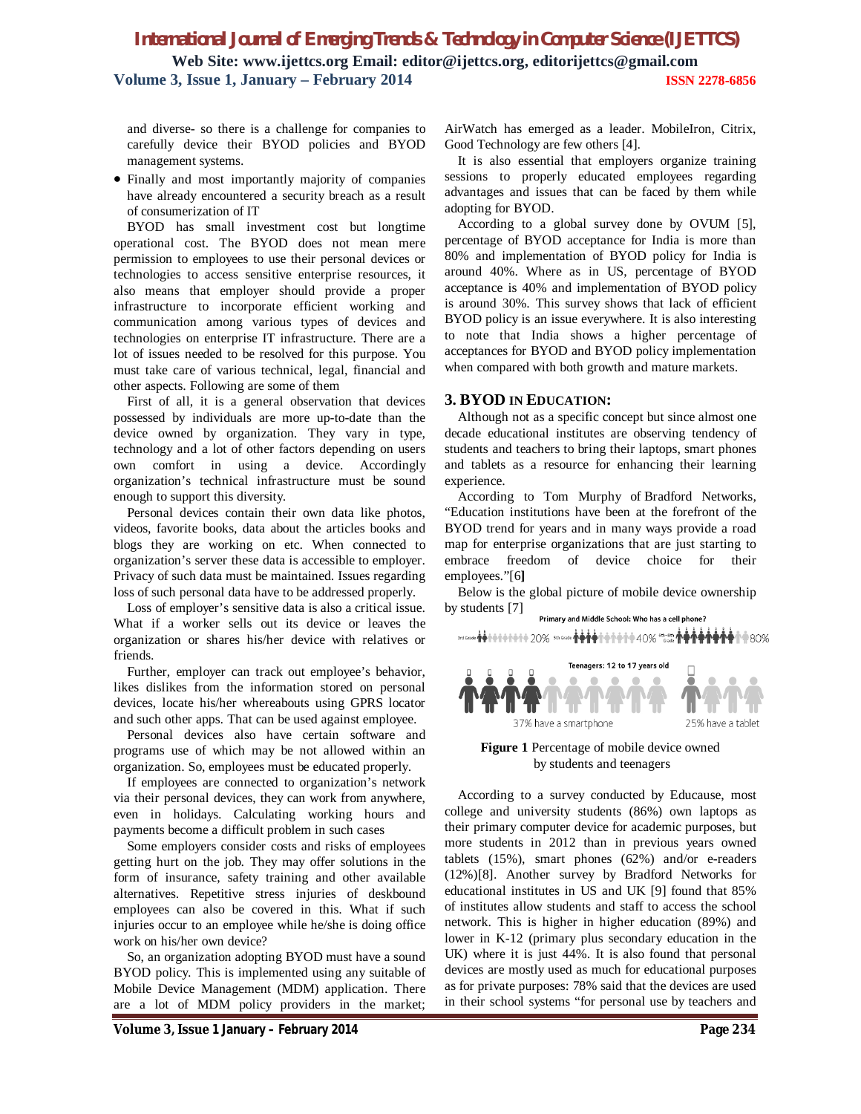## *International Journal of Emerging Trends & Technology in Computer Science (IJETTCS)* **Web Site: www.ijettcs.org Email: editor@ijettcs.org, editorijettcs@gmail.com Volume 3, Issue 1, January – February 2014 ISSN 2278-6856**

and diverse- so there is a challenge for companies to carefully device their BYOD policies and BYOD management systems.

 Finally and most importantly majority of companies have already encountered a security breach as a result of consumerization of IT

BYOD has small investment cost but longtime operational cost. The BYOD does not mean mere permission to employees to use their personal devices or technologies to access sensitive enterprise resources, it also means that employer should provide a proper infrastructure to incorporate efficient working and communication among various types of devices and technologies on enterprise IT infrastructure. There are a lot of issues needed to be resolved for this purpose. You must take care of various technical, legal, financial and other aspects. Following are some of them

First of all, it is a general observation that devices possessed by individuals are more up-to-date than the device owned by organization. They vary in type, technology and a lot of other factors depending on users own comfort in using a device. Accordingly organization's technical infrastructure must be sound enough to support this diversity.

Personal devices contain their own data like photos, videos, favorite books, data about the articles books and blogs they are working on etc. When connected to organization's server these data is accessible to employer. Privacy of such data must be maintained. Issues regarding loss of such personal data have to be addressed properly.

Loss of employer's sensitive data is also a critical issue. What if a worker sells out its device or leaves the organization or shares his/her device with relatives or friends.

Further, employer can track out employee's behavior, likes dislikes from the information stored on personal devices, locate his/her whereabouts using GPRS locator and such other apps. That can be used against employee.

Personal devices also have certain software and programs use of which may be not allowed within an organization. So, employees must be educated properly.

If employees are connected to organization's network via their personal devices, they can work from anywhere, even in holidays. Calculating working hours and payments become a difficult problem in such cases

Some employers consider costs and risks of employees getting hurt on the job. They may offer solutions in the form of insurance, safety training and other available alternatives. Repetitive stress injuries of deskbound employees can also be covered in this. What if such injuries occur to an employee while he/she is doing office work on his/her own device?

So, an organization adopting BYOD must have a sound BYOD policy. This is implemented using any suitable of Mobile Device Management (MDM) application. There are a lot of MDM policy providers in the market; AirWatch has emerged as a leader. MobileIron, Citrix, Good Technology are few others [4].

It is also essential that employers organize training sessions to properly educated employees regarding advantages and issues that can be faced by them while adopting for BYOD.

According to a global survey done by OVUM [5], percentage of BYOD acceptance for India is more than 80% and implementation of BYOD policy for India is around 40%. Where as in US, percentage of BYOD acceptance is 40% and implementation of BYOD policy is around 30%. This survey shows that lack of efficient BYOD policy is an issue everywhere. It is also interesting to note that India shows a higher percentage of acceptances for BYOD and BYOD policy implementation when compared with both growth and mature markets.

#### **3. BYOD IN EDUCATION:**

Although not as a specific concept but since almost one decade educational institutes are observing tendency of students and teachers to bring their laptops, smart phones and tablets as a resource for enhancing their learning experience.

According to Tom Murphy of Bradford Networks, "Education institutions have been at the forefront of the BYOD trend for years and in many ways provide a road map for enterprise organizations that are just starting to embrace freedom of device choice for their employees."[6**]**

Below is the global picture of mobile device ownership by students [7]

Primary and Middle School: Who has a cell phone? 3dGood **个个个个个个个个** 20% strGood 个个个个个个个个个 40% <sup>6th-8t</sup> 个个个个个个个 80%



**Figure 1** Percentage of mobile device owned by students and teenagers

According to a survey conducted by Educause, most college and university students (86%) own laptops as their primary computer device for academic purposes, but more students in 2012 than in previous years owned tablets (15%), smart phones (62%) and/or e-readers (12%)[8]. Another survey by Bradford Networks for educational institutes in US and UK [9] found that 85% of institutes allow students and staff to access the school network. This is higher in higher education (89%) and lower in K-12 (primary plus secondary education in the UK) where it is just 44%. It is also found that personal devices are mostly used as much for educational purposes as for private purposes: 78% said that the devices are used in their school systems "for personal use by teachers and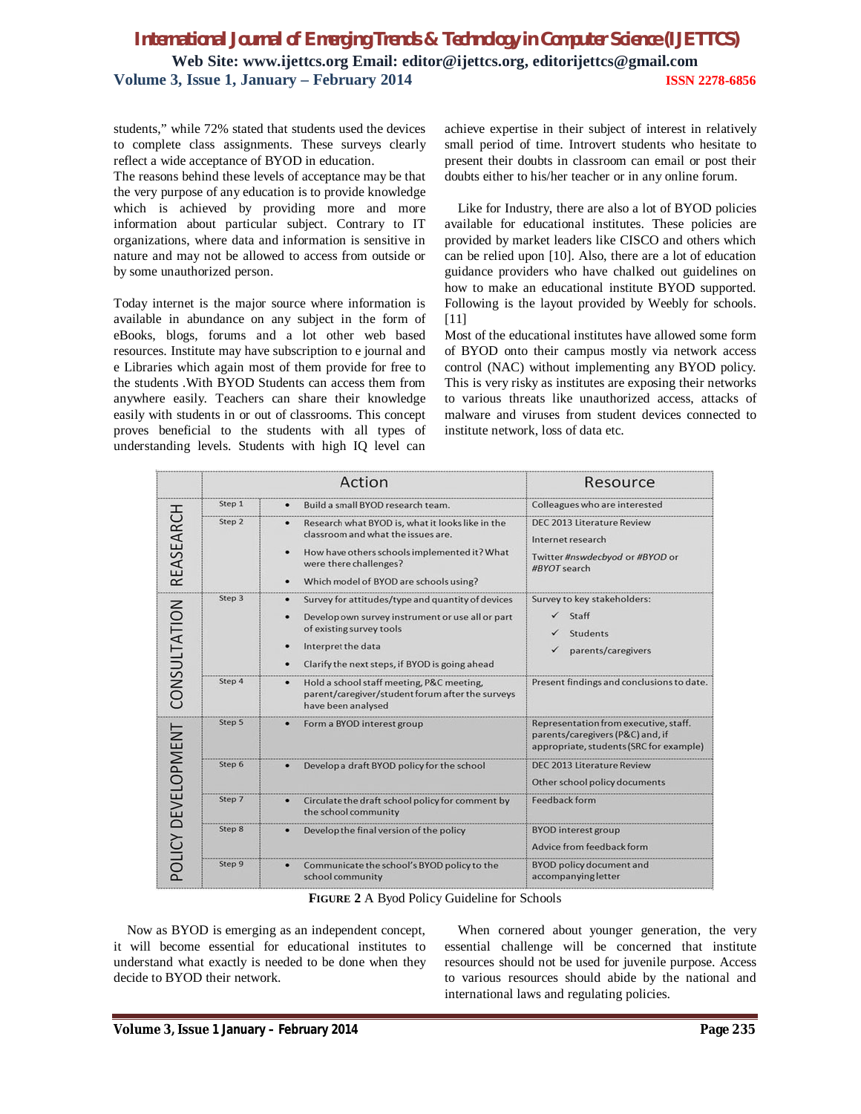# *International Journal of Emerging Trends & Technology in Computer Science (IJETTCS)* **Web Site: www.ijettcs.org Email: editor@ijettcs.org, editorijettcs@gmail.com Volume 3, Issue 1, January – February 2014 ISSN 2278-6856**

students," while 72% stated that students used the devices to complete class assignments. These surveys clearly reflect a wide acceptance of BYOD in education.

The reasons behind these levels of acceptance may be that the very purpose of any education is to provide knowledge which is achieved by providing more and more information about particular subject. Contrary to IT organizations, where data and information is sensitive in nature and may not be allowed to access from outside or by some unauthorized person.

Today internet is the major source where information is available in abundance on any subject in the form of eBooks, blogs, forums and a lot other web based resources. Institute may have subscription to e journal and e Libraries which again most of them provide for free to the students .With BYOD Students can access them from anywhere easily. Teachers can share their knowledge easily with students in or out of classrooms. This concept proves beneficial to the students with all types of understanding levels. Students with high IQ level can

achieve expertise in their subject of interest in relatively small period of time. Introvert students who hesitate to present their doubts in classroom can email or post their doubts either to his/her teacher or in any online forum.

Like for Industry, there are also a lot of BYOD policies available for educational institutes. These policies are provided by market leaders like CISCO and others which can be relied upon [10]. Also, there are a lot of education guidance providers who have chalked out guidelines on how to make an educational institute BYOD supported. Following is the layout provided by Weebly for schools. [11]

Most of the educational institutes have allowed some form of BYOD onto their campus mostly via network access control (NAC) without implementing any BYOD policy. This is very risky as institutes are exposing their networks to various threats like unauthorized access, attacks of malware and viruses from student devices connected to institute network, loss of data etc.

|                    | Action |                                                                                                                                                                                                                | Resource                                                                                                             |
|--------------------|--------|----------------------------------------------------------------------------------------------------------------------------------------------------------------------------------------------------------------|----------------------------------------------------------------------------------------------------------------------|
| REASEARCH          | Step 1 | Build a small BYOD research team.                                                                                                                                                                              | Colleagues who are interested                                                                                        |
|                    | Step 2 | Research what BYOD is, what it looks like in the<br>classroom and what the issues are.<br>How have others schools implemented it? What<br>were there challenges?<br>Which model of BYOD are schools using?     | DEC 2013 Literature Review<br>Internet research<br>Twitter #nswdecbyod or #BYOD or<br>#BYOT search                   |
| CONSULTATION       | Step 3 | Survey for attitudes/type and quantity of devices<br>Develop own survey instrument or use all or part<br>٠<br>of existing survey tools<br>Interpret the data<br>Clarify the next steps, if BYOD is going ahead | Survey to key stakeholders:<br>$\checkmark$ Staff<br><b>Students</b><br>parents/caregivers                           |
|                    | Step 4 | Hold a school staff meeting, P&C meeting,<br>٠<br>parent/caregiver/student forum after the surveys<br>have been analysed                                                                                       | Present findings and conclusions to date.                                                                            |
| POLICY DEVELOPMENT | Step 5 | Form a BYOD interest group                                                                                                                                                                                     | Representation from executive, staff.<br>parents/caregivers (P&C) and, if<br>appropriate, students (SRC for example) |
|                    | Step 6 | Develop a draft BYOD policy for the school                                                                                                                                                                     | <b>DEC 2013 Literature Review</b><br>Other school policy documents                                                   |
|                    | Step 7 | Circulate the draft school policy for comment by<br>٠<br>the school community                                                                                                                                  | Feedback form                                                                                                        |
|                    | Step 8 | Develop the final version of the policy                                                                                                                                                                        | <b>BYOD</b> interest group<br>Advice from feedback form                                                              |
|                    | Step 9 | Communicate the school's BYOD policy to the<br>school community                                                                                                                                                | <b>BYOD</b> policy document and<br>accompanying letter                                                               |

**FIGURE 2** A Byod Policy Guideline for Schools

Now as BYOD is emerging as an independent concept, it will become essential for educational institutes to understand what exactly is needed to be done when they decide to BYOD their network.

When cornered about younger generation, the very essential challenge will be concerned that institute resources should not be used for juvenile purpose. Access to various resources should abide by the national and international laws and regulating policies.